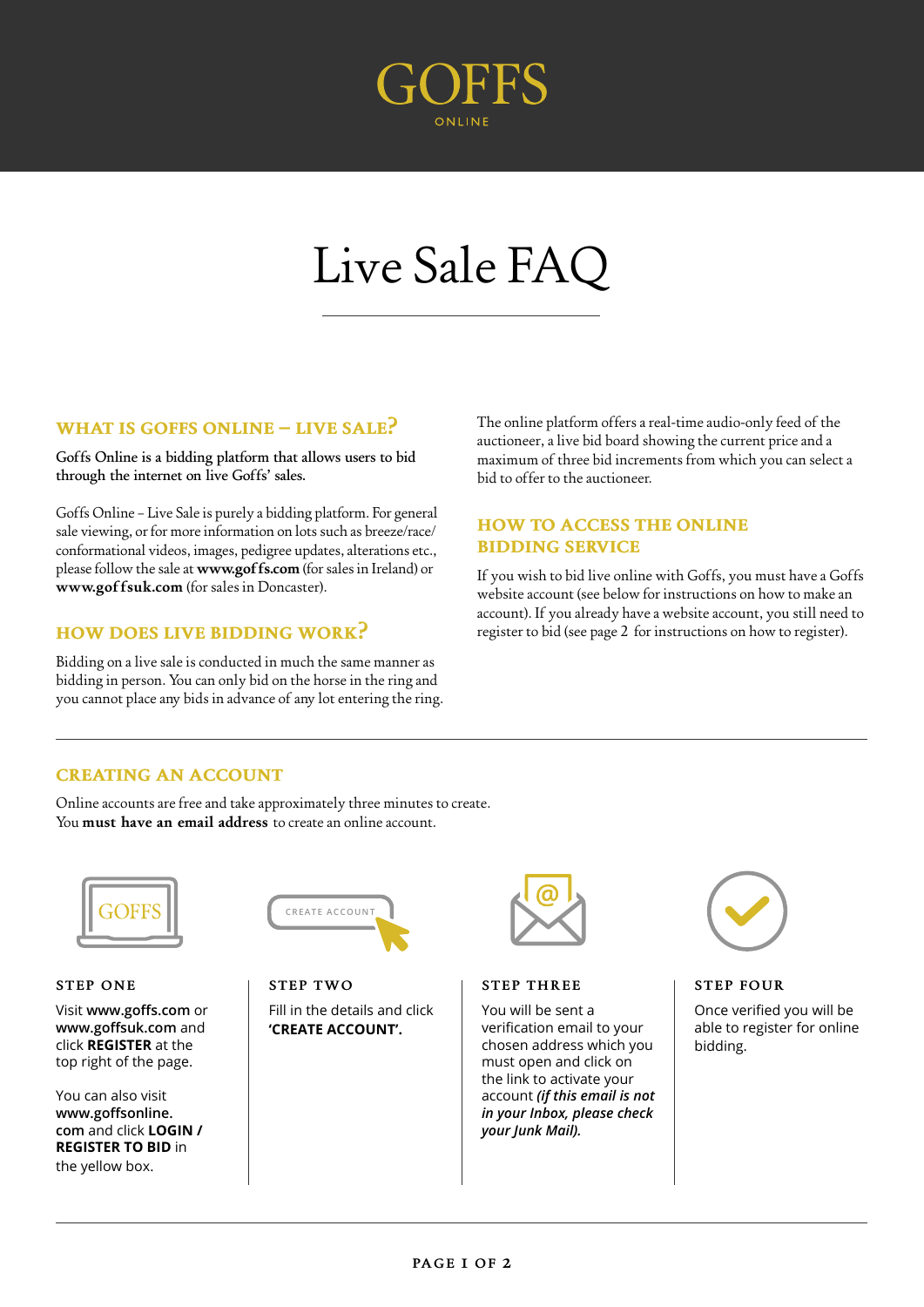

# Live Sale FAQ

# **what is goffs online – live sale?**

Goffs Online is a bidding platform that allows users to bid through the internet on live Goffs' sales.

Goffs Online – Live Sale is purely a bidding platform. For general sale viewing, or for more information on lots such as breeze/race/ conformational videos, images, pedigree updates, alterations etc., please follow the sale at **www.goffs.com** (for sales in Ireland) or **www.goffsuk.com** (for sales in Doncaster).

# **how does live bidding work?**

Bidding on a live sale is conducted in much the same manner as bidding in person. You can only bid on the horse in the ring and you cannot place any bids in advance of any lot entering the ring. The online platform offers a real-time audio-only feed of the auctioneer, a live bid board showing the current price and a maximum of three bid increments from which you can select a bid to offer to the auctioneer.

# **how to access the online bidding service**

If you wish to bid live online with Goffs, you must have a Goffs website account (see below for instructions on how to make an account). If you already have a website account, you still need to register to bid (see page 2 for instructions on how to register).

# **creating an account**

Online accounts are free and take approximately three minutes to create. You **must have an email address** to create an online account.



### **STEP ONE**

Visit **www.goffs.com** or **www.goffsuk.com** and click **REGISTER** at the top right of the page.

You can also visit **www.goffsonline. com** and click **LOGIN / REGISTER TO BID** in the yellow box.



**STEP TWO** Fill in the details and click **'CREATE ACCOUNT'.** 



## **STEP THREE**

You will be sent a verification email to your chosen address which you must open and click on the link to activate your account *(if this email is not in your Inbox, please check your Junk Mail).*



#### **STEP FOUR**

Once verified you will be able to register for online bidding.